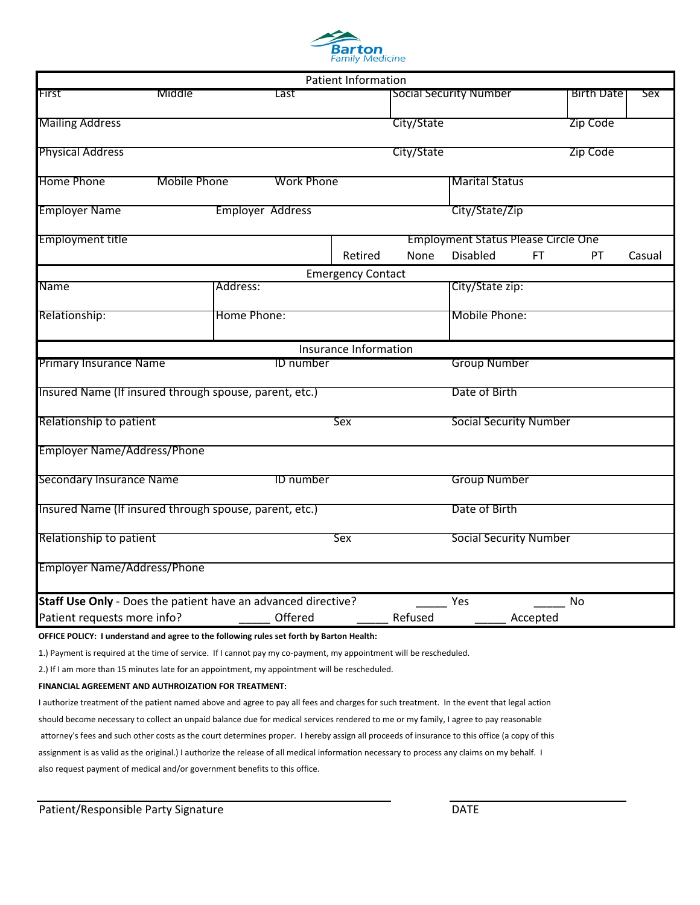

|                                                                                          |                         | <b>Patient Information</b> |            |                                            |          |            |        |
|------------------------------------------------------------------------------------------|-------------------------|----------------------------|------------|--------------------------------------------|----------|------------|--------|
| Middle<br>First                                                                          | Last                    |                            |            | <b>Social Security Number</b>              |          | Birth Date | Sex    |
|                                                                                          |                         |                            |            |                                            |          |            |        |
| <b>Mailing Address</b>                                                                   |                         |                            | City/State |                                            |          | Zip Code   |        |
|                                                                                          |                         |                            |            |                                            |          |            |        |
| <b>Physical Address</b>                                                                  |                         |                            | City/State |                                            |          | Zip Code   |        |
| Home Phone<br>Mobile Phone                                                               | <b>Work Phone</b>       |                            |            | <b>Marital Status</b>                      |          |            |        |
|                                                                                          |                         |                            |            |                                            |          |            |        |
| <b>Employer Name</b>                                                                     | <b>Employer Address</b> |                            |            | City/State/Zip                             |          |            |        |
| <b>Employment title</b>                                                                  |                         |                            |            | <b>Employment Status Please Circle One</b> |          |            |        |
|                                                                                          |                         | Retired                    | None       | <b>Disabled</b>                            | FT.      | PT         | Casual |
|                                                                                          |                         | <b>Emergency Contact</b>   |            |                                            |          |            |        |
| <b>Name</b>                                                                              | Address:                |                            |            | City/State zip:                            |          |            |        |
| Relationship:                                                                            | Home Phone:             |                            |            | Mobile Phone:                              |          |            |        |
|                                                                                          |                         |                            |            |                                            |          |            |        |
|                                                                                          |                         | Insurance Information      |            |                                            |          |            |        |
| <b>Primary Insurance Name</b>                                                            | <b>ID</b> number        |                            |            | <b>Group Number</b>                        |          |            |        |
| Insured Name (If insured through spouse, parent, etc.)                                   |                         |                            |            | Date of Birth                              |          |            |        |
|                                                                                          |                         |                            |            |                                            |          |            |        |
| Relationship to patient                                                                  |                         | Sex                        |            | <b>Social Security Number</b>              |          |            |        |
| <b>Employer Name/Address/Phone</b>                                                       |                         |                            |            |                                            |          |            |        |
|                                                                                          |                         |                            |            |                                            |          |            |        |
| <b>Secondary Insurance Name</b>                                                          | ID number               |                            |            | <b>Group Number</b>                        |          |            |        |
|                                                                                          |                         |                            |            |                                            |          |            |        |
| Insured Name (If insured through spouse, parent, etc.)                                   |                         |                            |            | Date of Birth                              |          |            |        |
| Relationship to patient                                                                  |                         | Sex                        |            | <b>Social Security Number</b>              |          |            |        |
|                                                                                          |                         |                            |            |                                            |          |            |        |
| <b>Employer Name/Address/Phone</b>                                                       |                         |                            |            |                                            |          |            |        |
|                                                                                          |                         |                            |            |                                            |          |            |        |
| Staff Use Only - Does the patient have an advanced directive?                            |                         |                            |            | Yes                                        |          | No         |        |
| Patient requests more info?                                                              | Offered                 |                            | Refused    |                                            | Accepted |            |        |
| OFFICE POLICY: I understand and agree to the following rules set forth by Barton Health: |                         |                            |            |                                            |          |            |        |

1.) Payment is required at the time of service. If I cannot pay my co-payment, my appointment will be rescheduled.

2.) If I am more than 15 minutes late for an appointment, my appointment will be rescheduled.

## **FINANCIAL AGREEMENT AND AUTHROIZATION FOR TREATMENT:**

I authorize treatment of the patient named above and agree to pay all fees and charges for such treatment. In the event that legal action should become necessary to collect an unpaid balance due for medical services rendered to me or my family, I agree to pay reasonable attorney's fees and such other costs as the court determines proper. I hereby assign all proceeds of insurance to this office (a copy of this assignment is as valid as the original.) I authorize the release of all medical information necessary to process any claims on my behalf. I also request payment of medical and/or government benefits to this office.

Patient/Responsible Party Signature density and the DATE